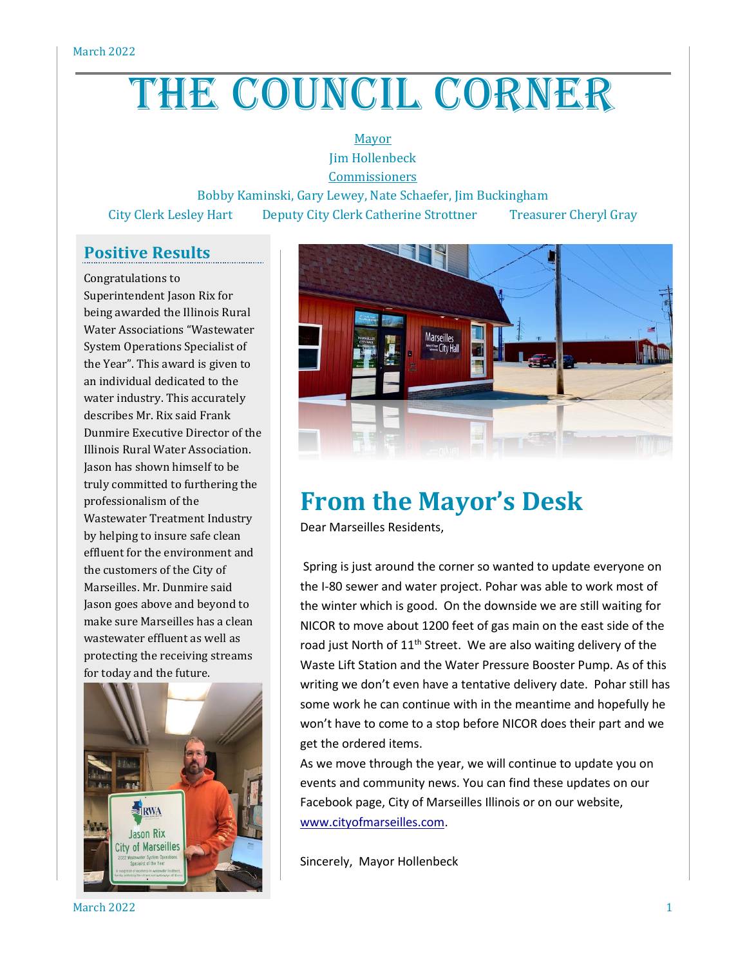## THE COUNCIL CORNER

## Mayor Jim Hollenbeck

**Commissioners** 

Bobby Kaminski, Gary Lewey, Nate Schaefer, Jim Buckingham City Clerk Lesley Hart Deputy City Clerk Catherine Strottner Treasurer Cheryl Gray

## **Positive Results**

Congratulations to Superintendent Jason Rix for being awarded the Illinois Rural Water Associations "Wastewater System Operations Specialist of the Year". This award is given to an individual dedicated to the water industry. This accurately describes Mr. Rix said Frank Dunmire Executive Director of the Illinois Rural Water Association. Jason has shown himself to be truly committed to furthering the professionalism of the Wastewater Treatment Industry by helping to insure safe clean effluent for the environment and the customers of the City of Marseilles. Mr. Dunmire said Jason goes above and beyond to make sure Marseilles has a clean wastewater effluent as well as protecting the receiving streams for today and the future.





## **From the Mayor's Desk**

Dear Marseilles Residents,

Spring is just around the corner so wanted to update everyone on the I-80 sewer and water project. Pohar was able to work most of the winter which is good. On the downside we are still waiting for NICOR to move about 1200 feet of gas main on the east side of the road just North of 11<sup>th</sup> Street. We are also waiting delivery of the Waste Lift Station and the Water Pressure Booster Pump. As of this writing we don't even have a tentative delivery date. Pohar still has some work he can continue with in the meantime and hopefully he won't have to come to a stop before NICOR does their part and we get the ordered items.

As we move through the year, we will continue to update you on events and community news. You can find these updates on our Facebook page, City of Marseilles Illinois or on our website, [www.cityofmarseilles.com.](http://www.cityofmarseilles.com/)

Sincerely, Mayor Hollenbeck

March 2022  $\qquad \qquad \qquad$  1